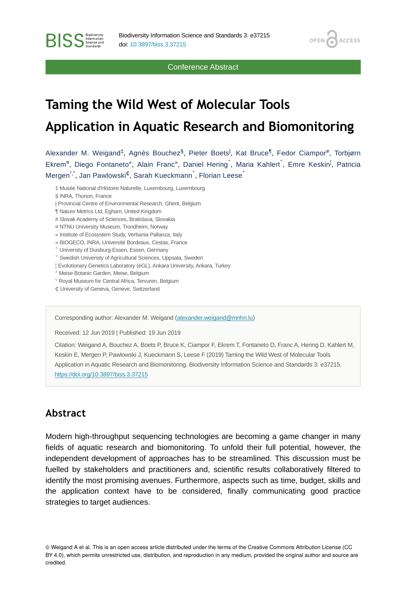Conference Abstract

ACCESS

OPEN /

# **Taming the Wild West of Molecular Tools Application in Aquatic Research and Biomonitoring**

Alexander M. Weigand<sup>‡</sup>, Agnès Bouchez<sup>§</sup>, Pieter Boets<sup>l</sup>, Kat Bruce<sup>¶</sup>, Fedor Ciampor<sup>#</sup>, Torbjørn Ekrem<sup>a</sup>, Diego Fontaneto<sup>«</sup>, Alain Franc<sup>»</sup>, Daniel Hering<sup>^</sup>, Maria Kahlert<sup>\*</sup>, Emre Keskin<sup>i</sup>, Patricia Mergen $\lq\lq\lq$ , Jan Pawlowski $\mathfrak{c}_i$ , Sarah Kueckmann $\lq$ , Florian Leese $\lq$ 

‡ Musée National d'Histoire Naturelle, Luxembourg, Luxembourg

§ INRA, Thonon, France

**BISS** Steince and

- | Provincial Centre of Environmental Research, Ghent, Belgium
- ¶ Nature Metrics Ltd, Egham, United Kingdom
- # Slovak Academy of Sciences, Bratislava, Slovakia
- ¤ NTNU University Museum, Trondheim, Norway
- « Institute of Ecosystem Study, Verbania Pallanza, Italy
- » BIOGECO, INRA, Université Bordeaux, Cestas, France
- ˄ University of Duisburg-Essen, Essen, Germany
- ˅ Swedish University of Agricultural Sciences, Uppsala, Sweden
- ¦ Evolutionary Genetics Laboratory (eGL), Ankara University, Ankara, Turkey
- ˀ Meise Botanic Garden, Meise, Belgium
- <sup>s</sup> Royal Museum for Central Africa, Tervuren, Belgium
- ₵ University of Geneva, Geneve, Switzerland

Corresponding author: Alexander M. Weigand ([alexander.weigand@mnhn.lu](mailto:alexander.weigand@mnhn.lu))

Received: 12 Jun 2019 | Published: 19 Jun 2019

Citation: Weigand A, Bouchez A, Boets P, Bruce K, Ciampor F, Ekrem T, Fontaneto D, Franc A, Hering D, Kahlert M, Keskin E, Mergen P, Pawlowski J, Kueckmann S, Leese F (2019) Taming the Wild West of Molecular Tools Application in Aquatic Research and Biomonitoring. Biodiversity Information Science and Standards 3: e37215. <https://doi.org/10.3897/biss.3.37215>

#### **Abstract**

Modern high-throughput sequencing technologies are becoming a game changer in many fields of aquatic research and biomonitoring. To unfold their full potential, however, the independent development of approaches has to be streamlined. This discussion must be fuelled by stakeholders and practitioners and, scientific results collaboratively filtered to identify the most promising avenues. Furthermore, aspects such as time, budget, skills and the application context have to be considered, finally communicating good practice strategies to target audiences.

<sup>©</sup> Weigand A et al. This is an open access article distributed under the terms of the Creative Commons Attribution License (CC BY 4.0), which permits unrestricted use, distribution, and reproduction in any medium, provided the original author and source are credited.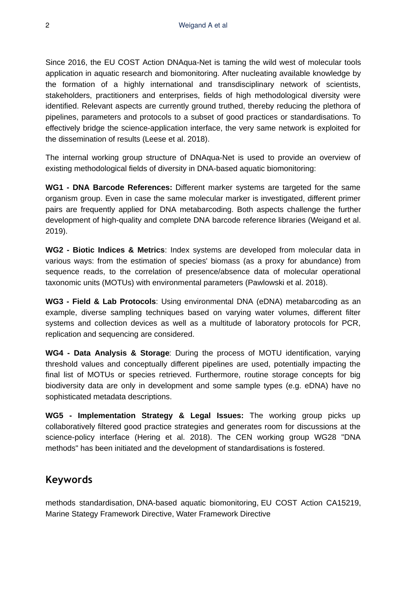Since 2016, the EU COST Action DNAqua-Net is taming the wild west of molecular tools application in aquatic research and biomonitoring. After nucleating available knowledge by the formation of a highly international and transdisciplinary network of scientists, stakeholders, practitioners and enterprises, fields of high methodological diversity were identified. Relevant aspects are currently ground truthed, thereby reducing the plethora of pipelines, parameters and protocols to a subset of good practices or standardisations. To effectively bridge the science-application interface, the very same network is exploited for the dissemination of results (Leese et al. 2018).

The internal working group structure of DNAqua-Net is used to provide an overview of existing methodological fields of diversity in DNA-based aquatic biomonitoring:

**WG1 - DNA Barcode References:** Different marker systems are targeted for the same organism group. Even in case the same molecular marker is investigated, different primer pairs are frequently applied for DNA metabarcoding. Both aspects challenge the further development of high-quality and complete DNA barcode reference libraries (Weigand et al. 2019).

**WG2 - Biotic Indices & Metrics**: Index systems are developed from molecular data in various ways: from the estimation of species' biomass (as a proxy for abundance) from sequence reads, to the correlation of presence/absence data of molecular operational taxonomic units (MOTUs) with environmental parameters (Pawlowski et al. 2018).

**WG3 - Field & Lab Protocols**: Using environmental DNA (eDNA) metabarcoding as an example, diverse sampling techniques based on varying water volumes, different filter systems and collection devices as well as a multitude of laboratory protocols for PCR, replication and sequencing are considered.

**WG4 - Data Analysis & Storage**: During the process of MOTU identification, varying threshold values and conceptually different pipelines are used, potentially impacting the final list of MOTUs or species retrieved. Furthermore, routine storage concepts for big biodiversity data are only in development and some sample types (e.g. eDNA) have no sophisticated metadata descriptions.

**WG5 - Implementation Strategy & Legal Issues:** The working group picks up collaboratively filtered good practice strategies and generates room for discussions at the science-policy interface (Hering et al. 2018). The CEN working group WG28 "DNA methods" has been initiated and the development of standardisations is fostered.

# **Keywords**

methods standardisation, DNA-based aquatic biomonitoring, EU COST Action CA15219, Marine Stategy Framework Directive, Water Framework Directive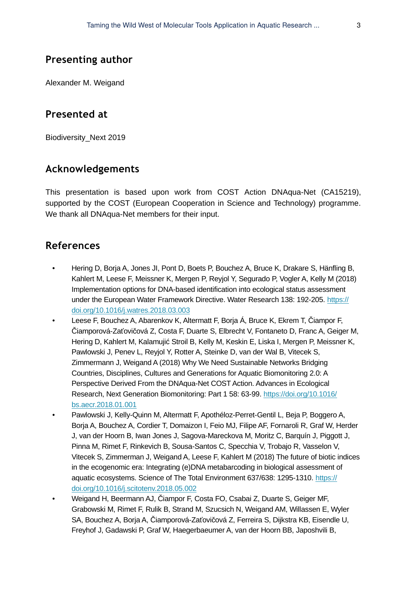## **Presenting author**

Alexander M. Weigand

#### **Presented at**

Biodiversity\_Next 2019

# **Acknowledgements**

This presentation is based upon work from COST Action DNAqua-Net (CA15219), supported by the COST (European Cooperation in Science and Technology) programme. We thank all DNAqua-Net members for their input.

### **References**

- Hering D, Borja A, Jones JI, Pont D, Boets P, Bouchez A, Bruce K, Drakare S, Hänfling B, Kahlert M, Leese F, Meissner K, Mergen P, Reyjol Y, Segurado P, Vogler A, Kelly M (2018) Implementation options for DNA-based identification into ecological status assessment under the European Water Framework Directive. Water Research 138: 192-205. [https://](https://doi.org/10.1016/j.watres.2018.03.003) [doi.org/10.1016/j.watres.2018.03.003](https://doi.org/10.1016/j.watres.2018.03.003)
- Leese F, Bouchez A, Abarenkov K, Altermatt F, Borja Á, Bruce K, Ekrem T, Čiampor F, Čiamporová-Zaťovičová Z, Costa F, Duarte S, Elbrecht V, Fontaneto D, Franc A, Geiger M, Hering D, Kahlert M, Kalamujić Stroil B, Kelly M, Keskin E, Liska I, Mergen P, Meissner K, Pawlowski J, Penev L, Reyjol Y, Rotter A, Steinke D, van der Wal B, Vitecek S, Zimmermann J, Weigand A (2018) Why We Need Sustainable Networks Bridging Countries, Disciplines, Cultures and Generations for Aquatic Biomonitoring 2.0: A Perspective Derived From the DNAqua-Net COST Action. Advances in Ecological Research, Next Generation Biomonitoring: Part 1 58: 63‑99. [https://doi.org/10.1016/](https://doi.org/10.1016/bs.aecr.2018.01.001) [bs.aecr.2018.01.001](https://doi.org/10.1016/bs.aecr.2018.01.001)
- Pawlowski J, Kelly-Quinn M, Altermatt F, Apothéloz-Perret-Gentil L, Beja P, Boggero A, Borja A, Bouchez A, Cordier T, Domaizon I, Feio MJ, Filipe AF, Fornaroli R, Graf W, Herder J, van der Hoorn B, Iwan Jones J, Sagova-Mareckova M, Moritz C, Barquín J, Piggott J, Pinna M, Rimet F, Rinkevich B, Sousa-Santos C, Specchia V, Trobajo R, Vasselon V, Vitecek S, Zimmerman J, Weigand A, Leese F, Kahlert M (2018) The future of biotic indices in the ecogenomic era: Integrating (e)DNA metabarcoding in biological assessment of aquatic ecosystems. Science of The Total Environment 637/638: 1295-1310. [https://](https://doi.org/10.1016/j.scitotenv.2018.05.002) [doi.org/10.1016/j.scitotenv.2018.05.002](https://doi.org/10.1016/j.scitotenv.2018.05.002)
- Weigand H, Beermann AJ, Čiampor F, Costa FO, Csabai Z, Duarte S, Geiger MF, Grabowski M, Rimet F, Rulik B, Strand M, Szucsich N, Weigand AM, Willassen E, Wyler SA, Bouchez A, Borja A, Čiamporová-Zaťovičová Z, Ferreira S, Dijkstra KB, Eisendle U, Freyhof J, Gadawski P, Graf W, Haegerbaeumer A, van der Hoorn BB, Japoshvili B,